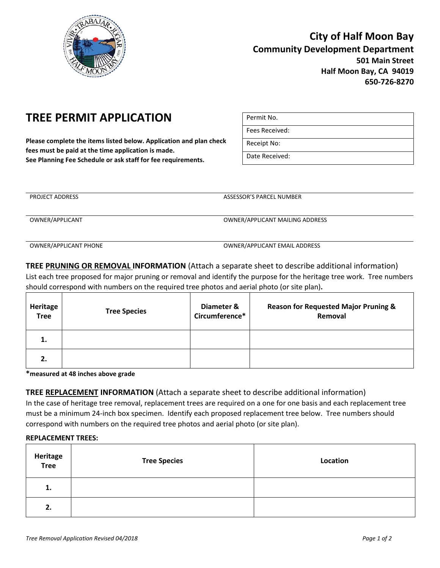

## **City of Half Moon Bay Community Development Department 501 Main Street Half Moon Bay, CA 94019 650-726-8270**

# **TREE PERMIT APPLICATION**

**Please complete the items listed below. Application and plan check fees must be paid at the time application is made. See Planning Fee Schedule or ask staff for fee requirements.** 

| Permit No.     |
|----------------|
| Fees Received: |
| Receipt No:    |
| Date Received: |

PROJECT ADDRESS ASSESSOR'S PARCEL NUMBER OWNER/APPLICANT OWNER/APPLICANT MAILING ADDRESS

OWNER/APPLICANT PHONE OWNER/APPLICANT EMAIL ADDRESS

**TREE PRUNING OR REMOVAL INFORMATION** (Attach a separate sheet to describe additional information) List each tree proposed for major pruning or removal and identify the purpose for the heritage tree work. Tree numbers should correspond with numbers on the required tree photos and aerial photo (or site plan)**.**

| Heritage<br><b>Tree</b> | <b>Tree Species</b> | Diameter &<br>Circumference* | <b>Reason for Requested Major Pruning &amp;</b><br>Removal |
|-------------------------|---------------------|------------------------------|------------------------------------------------------------|
| 1.                      |                     |                              |                                                            |
| 2.                      |                     |                              |                                                            |

**\*measured at 48 inches above grade**

**TREE REPLACEMENT INFORMATION** (Attach a separate sheet to describe additional information)

In the case of heritage tree removal, replacement trees are required on a one for one basis and each replacement tree must be a minimum 24-inch box specimen. Identify each proposed replacement tree below. Tree numbers should correspond with numbers on the required tree photos and aerial photo (or site plan).

### **REPLACEMENT TREES:**

| Heritage<br>Tree | <b>Tree Species</b> | Location |
|------------------|---------------------|----------|
| 1.               |                     |          |
| 2.               |                     |          |